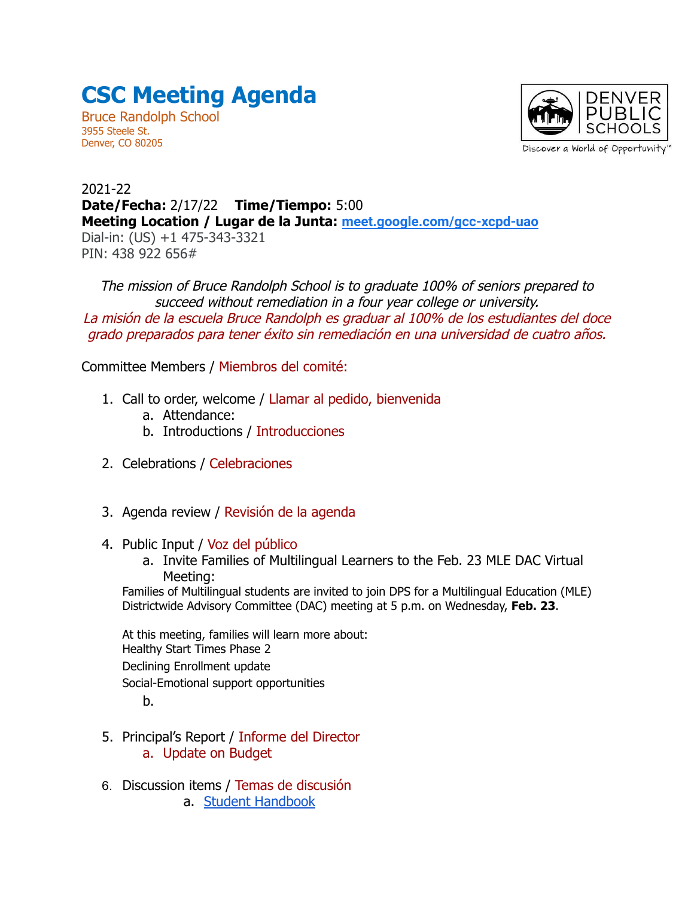## **CSC Meeting Agenda**

Bruce Randolph School 3955 Steele St. Denver, CO 80205



2021-22 **Date/Fecha:** 2/17/22 **Time/Tiempo:** 5:00 **Meeting Location / Lugar de la Junta: [meet.google.com/gcc-xcpd-uao](http://meet.google.com/gcc-xcpd-uao)** Dial-in: (US) +1 475-343-3321 PIN: 438 922 656#

The mission of Bruce Randolph School is to graduate 100% of seniors prepared to succeed without remediation in a four year college or university. La misión de la escuela Bruce Randolph es graduar al 100% de los estudiantes del doce grado preparados para tener éxito sin remediación en una universidad de cuatro años.

Committee Members / Miembros del comité:

- 1. Call to order, welcome / Llamar al pedido, bienvenida
	- a. Attendance:
	- b. Introductions / Introducciones
- 2. Celebrations / Celebraciones
- 3. Agenda review / Revisión de la agenda
- 4. Public Input / Voz del público
	- a. Invite Families of Multilingual Learners to the Feb. 23 MLE DAC Virtual Meeting:

Families of Multilingual students are invited to join DPS for a Multilingual Education (MLE) Districtwide Advisory Committee (DAC) meeting at 5 p.m. on Wednesday, **Feb. 23**.

At this meeting, families will learn more about: Healthy Start Times Phase 2 Declining Enrollment update Social-Emotional support opportunities

b.

- 5. Principal's Report / Informe del Director a. Update on Budget
- 6. Discussion items / Temas de discusión a. [Student Handbook](https://docs.google.com/document/d/1s-pcHG7_WPvkDyDOVBPIlmAr8FyiE0jZvzFsqmpiUnw/edit#heading=h.47gqjecy885k)